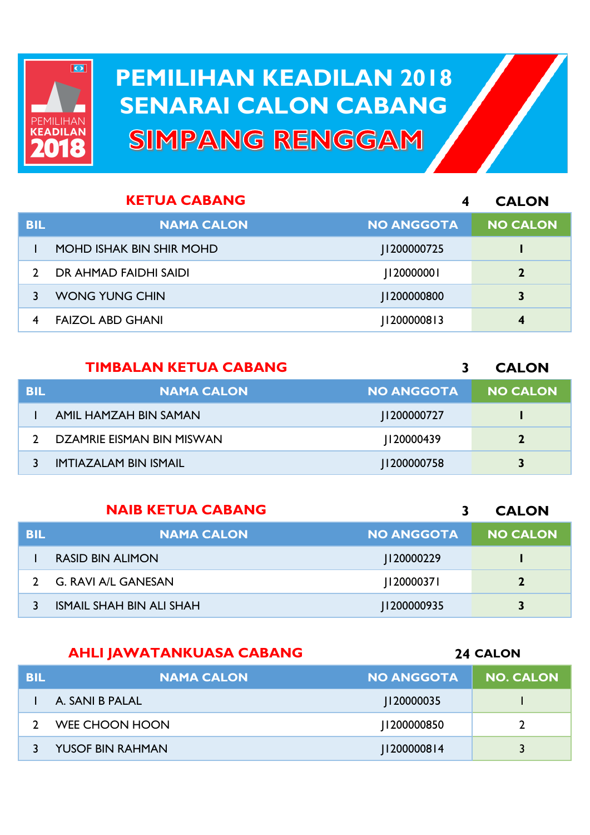

## **PEMILIHAN KEADILAN 2018 PEMILIHAN KEADILAN 2018 SENARAI CALON CABANG SENARAI CALON CABANGSIMPANG RENGGAM**

|            | <b>KETUA CABANG</b>             | 4                 | <b>CALON</b>     |
|------------|---------------------------------|-------------------|------------------|
| <b>BIL</b> | <b>NAMA CALON</b>               | <b>NO ANGGOTA</b> | <b>NO CALON</b>  |
|            | <b>MOHD ISHAK BIN SHIR MOHD</b> | 1200000725        |                  |
|            | DR AHMAD FAIDHI SAIDI           | [12000000]        | $\mathbf{2}$     |
|            | <b>WONG YUNG CHIN</b>           | 1200000800        | 3                |
| 4          | <b>FAIZOL ABD GHANI</b>         | 11200000813       | $\boldsymbol{4}$ |

## **TIMBALAN KETUA CABANG**

**BIL NAMA CALON NO ANGGOTA NO CALON** AMIL HAMZAH BIN SAMAN J1200000727 **1** DZAMRIE EISMAN BIN MISWAN J120000439 **2** IMTIAZALAM BIN ISMAIL J1200000758 **3**

|            | <b>NAIB KETUA CABANG</b>        |                   | <b>CALON</b>    |
|------------|---------------------------------|-------------------|-----------------|
| <b>BIL</b> | <b>NAMA CALON</b>               | <b>NO ANGGOTA</b> | <b>NO CALON</b> |
|            | <b>RASID BIN ALIMON</b>         | 120000229         |                 |
|            | G. RAVI A/L GANESAN             | 12000037          | $\overline{2}$  |
|            | <b>ISMAIL SHAH BIN ALI SHAH</b> | 1200000935        | 3               |

## **AHLI JAWATANKUASA CABANG**

**CALON**

**CALON**

| <b>BIL</b> | <b>NAMA CALON</b>       | <b>NO ANGGOTA</b> | <b>NO. CALON</b> |
|------------|-------------------------|-------------------|------------------|
|            | A. SANI B PALAL         | 20000035          |                  |
|            | WEE CHOON HOON          | 1200000850        |                  |
|            | <b>YUSOF BIN RAHMAN</b> | 2000008   4       |                  |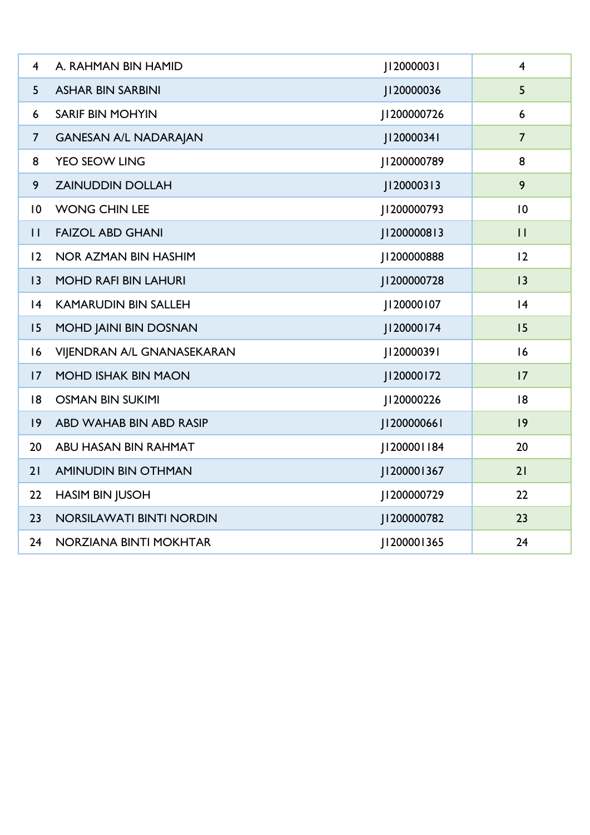| $\overline{4}$ | A. RAHMAN BIN HAMID             | J120000031  | $\overline{4}$ |
|----------------|---------------------------------|-------------|----------------|
| 5              | <b>ASHAR BIN SARBINI</b>        | J120000036  | 5              |
| 6              | <b>SARIF BIN MOHYIN</b>         | J1200000726 | 6              |
| $\overline{7}$ | <b>GANESAN A/L NADARAJAN</b>    | 20000341    | $\overline{7}$ |
| 8              | YEO SEOW LING                   | 200000789   | 8              |
| 9              | <b>ZAINUDDIN DOLLAH</b>         | J120000313  | 9              |
| 10             | <b>WONG CHIN LEE</b>            | 200000793   | 10             |
| $\mathbf{H}$   | <b>FAIZOL ABD GHANI</b>         | J1200000813 | $\mathbf{H}$   |
| 12             | <b>NOR AZMAN BIN HASHIM</b>     | J1200000888 | 12             |
| 3              | <b>MOHD RAFI BIN LAHURI</b>     | 1200000728  | 3              |
| 4              | <b>KAMARUDIN BIN SALLEH</b>     | J120000107  | 4              |
| 15             | MOHD JAINI BIN DOSNAN           | J120000174  | 15             |
| 16             | VIJENDRAN A/L GNANASEKARAN      | J120000391  | 16             |
| 17             | <b>MOHD ISHAK BIN MAON</b>      | J120000172  | 17             |
| 8              | <b>OSMAN BIN SUKIMI</b>         | J120000226  | 8              |
| $ 9\rangle$    | ABD WAHAB BIN ABD RASIP         | J1200000661 | 9              |
| 20             | ABU HASAN BIN RAHMAT            | J1200001184 | 20             |
| 21             | <b>AMINUDIN BIN OTHMAN</b>      | J1200001367 | 21             |
| 22             | <b>HASIM BIN JUSOH</b>          | 1200000729  | 22             |
| 23             | <b>NORSILAWATI BINTI NORDIN</b> | J1200000782 | 23             |
| 24             | NORZIANA BINTI MOKHTAR          | 20000   365 | 24             |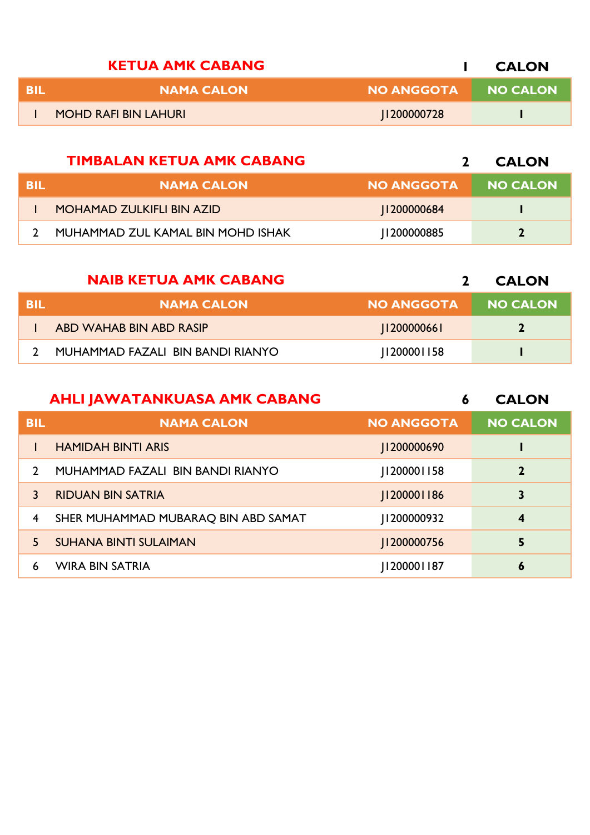|      | <b>KETUA AMK CABANG</b>     |                   | <b>CALON</b>    |
|------|-----------------------------|-------------------|-----------------|
| -RII | <b>NAMA CALON</b>           | <b>NO ANGGOTA</b> | <b>NO CALON</b> |
|      | <b>MOHD RAFI BIN LAHURI</b> | 200000728         |                 |

|     | <b>TIMBALAN KETUA AMK CABANG</b>  |                   | <b>CALON</b>    |
|-----|-----------------------------------|-------------------|-----------------|
| BIL | <b>NAMA CALON</b>                 | <b>NO ANGGOTA</b> | <b>NO CALON</b> |
|     | <b>MOHAMAD ZULKIFLI BIN AZID</b>  | 1200000684        |                 |
|     | MUHAMMAD ZUL KAMAL BIN MOHD ISHAK | 200000885         |                 |

|      | <b>NAIB KETUA AMK CABANG</b>     |                   | <b>CALON</b>    |
|------|----------------------------------|-------------------|-----------------|
| -BIL | <b>NAMA CALON</b>                | <b>NO ANGGOTA</b> | <b>NO CALON</b> |
|      | ABD WAHAB BIN ABD RASIP          | 120000066         | $\mathbf{z}$    |
|      | MUHAMMAD FAZALI BIN BANDI RIANYO | 11200001158       |                 |

|               | <b>AHLI JAWATANKUASA AMK CABANG</b> | 6                 | <b>CALON</b>    |
|---------------|-------------------------------------|-------------------|-----------------|
| <b>BIL</b>    | <b>NAMA CALON</b>                   | <b>NO ANGGOTA</b> | <b>NO CALON</b> |
|               | <b>HAMIDAH BINTI ARIS</b>           | 1200000690        |                 |
| $\mathcal{L}$ | MUHAMMAD FAZALI BIN BANDI RIANYO    | 20000     58      | $\mathbf{2}$    |
| 3             | <b>RIDUAN BIN SATRIA</b>            | 11200001186       | 3               |
| 4             | SHER MUHAMMAD MUBARAQ BIN ABD SAMAT | 200000932         | 4               |
| 5.            | <b>SUHANA BINTI SULAIMAN</b>        | 1200000756        | 5               |
| 6             | <b>WIRA BIN SATRIA</b>              | 20000   187       | 6               |